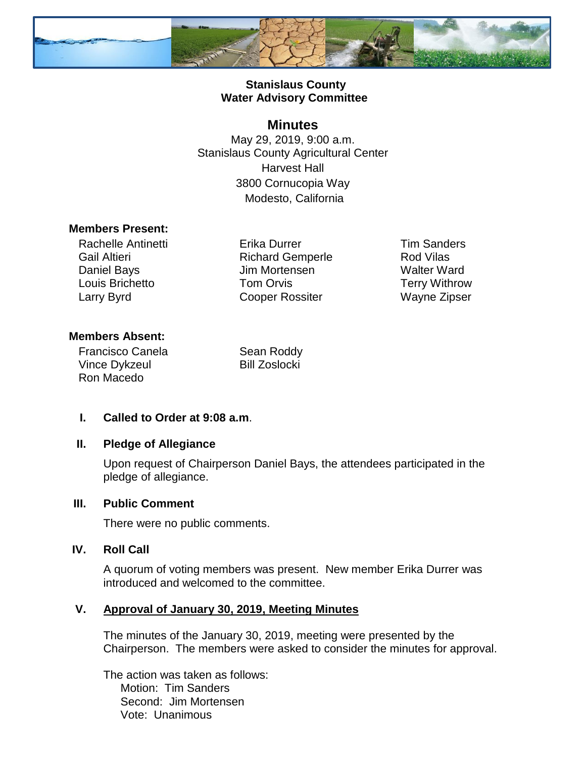

## **Stanislaus County Water Advisory Committee**

# **Minutes**

May 29, 2019, 9:00 a.m. Stanislaus County Agricultural Center Harvest Hall 3800 Cornucopia Way Modesto, California

#### **Members Present:**

Rachelle Antinetti Gail Altieri Daniel Bays Louis Brichetto Larry Byrd

Erika Durrer Richard Gemperle Jim Mortensen Tom Orvis Cooper Rossiter

Tim Sanders Rod Vilas Walter Ward Terry Withrow Wayne Zipser

## **Members Absent:**

Francisco Canela Vince Dykzeul Ron Macedo

Sean Roddy Bill Zoslocki

# **I. Called to Order at 9:08 a.m**.

#### **II. Pledge of Allegiance**

Upon request of Chairperson Daniel Bays, the attendees participated in the pledge of allegiance.

#### **III. Public Comment**

There were no public comments.

#### **IV. Roll Call**

A quorum of voting members was present. New member Erika Durrer was introduced and welcomed to the committee.

#### **V. Approval of January 30, 2019, Meeting Minutes**

The minutes of the January 30, 2019, meeting were presented by the Chairperson. The members were asked to consider the minutes for approval.

The action was taken as follows: Motion: Tim Sanders Second: Jim Mortensen Vote: Unanimous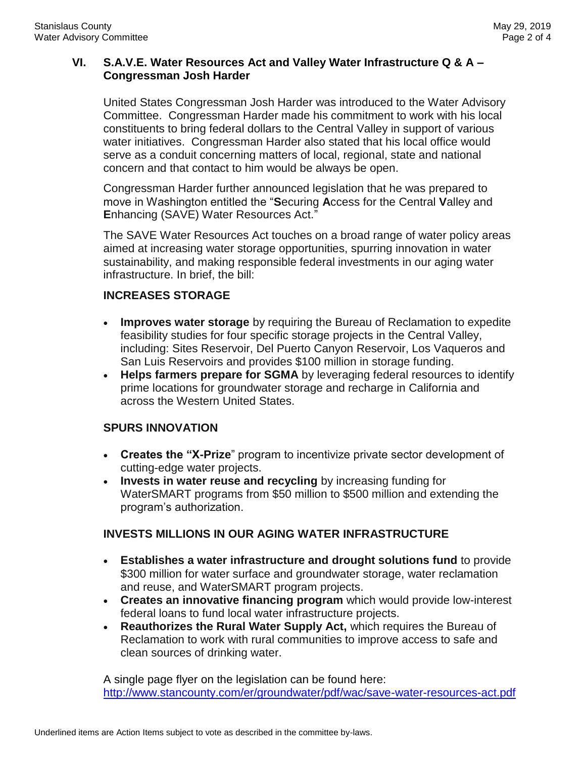#### **VI. S.A.V.E. Water Resources Act and Valley Water Infrastructure Q & A – Congressman Josh Harder**

United States Congressman Josh Harder was introduced to the Water Advisory Committee. Congressman Harder made his commitment to work with his local constituents to bring federal dollars to the Central Valley in support of various water initiatives. Congressman Harder also stated that his local office would serve as a conduit concerning matters of local, regional, state and national concern and that contact to him would be always be open.

Congressman Harder further announced legislation that he was prepared to move in Washington entitled the "**S**ecuring **A**ccess for the Central **V**alley and **E**nhancing (SAVE) Water Resources Act."

The SAVE Water Resources Act touches on a broad range of water policy areas aimed at increasing water storage opportunities, spurring innovation in water sustainability, and making responsible federal investments in our aging water infrastructure. In brief, the bill:

#### **INCREASES STORAGE**

- **Improves water storage** by requiring the Bureau of Reclamation to expedite feasibility studies for four specific storage projects in the Central Valley, including: Sites Reservoir, Del Puerto Canyon Reservoir, Los Vaqueros and San Luis Reservoirs and provides \$100 million in storage funding.
- **Helps farmers prepare for SGMA** by leveraging federal resources to identify prime locations for groundwater storage and recharge in California and across the Western United States.

# **SPURS INNOVATION**

- **Creates the "X-Prize**" program to incentivize private sector development of cutting-edge water projects.
- **Invests in water reuse and recycling** by increasing funding for WaterSMART programs from \$50 million to \$500 million and extending the program's authorization.

# **INVESTS MILLIONS IN OUR AGING WATER INFRASTRUCTURE**

- **Establishes a water infrastructure and drought solutions fund** to provide \$300 million for water surface and groundwater storage, water reclamation and reuse, and WaterSMART program projects.
- **Creates an innovative financing program** which would provide low-interest federal loans to fund local water infrastructure projects.
- **Reauthorizes the Rural Water Supply Act,** which requires the Bureau of Reclamation to work with rural communities to improve access to safe and clean sources of drinking water.

A single page flyer on the legislation can be found here: <http://www.stancounty.com/er/groundwater/pdf/wac/save-water-resources-act.pdf>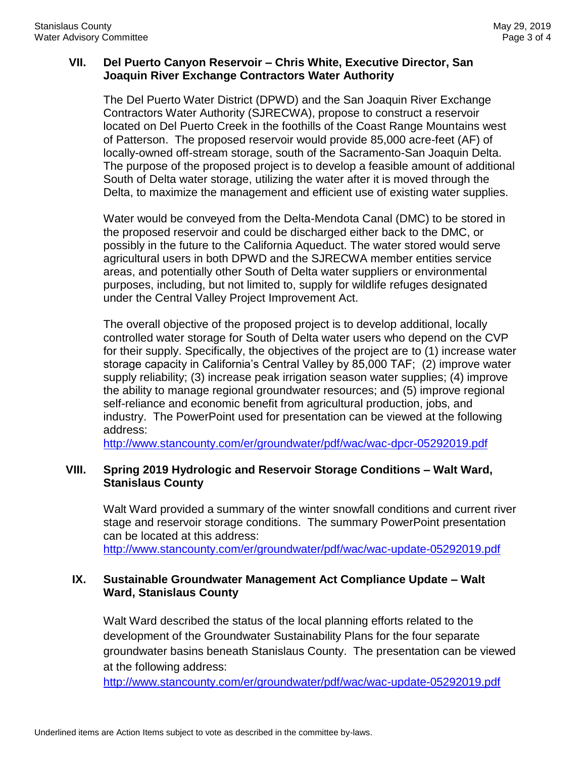#### **VII. Del Puerto Canyon Reservoir – Chris White, Executive Director, San Joaquin River Exchange Contractors Water Authority**

The Del Puerto Water District (DPWD) and the San Joaquin River Exchange Contractors Water Authority (SJRECWA), propose to construct a reservoir located on Del Puerto Creek in the foothills of the Coast Range Mountains west of Patterson. The proposed reservoir would provide 85,000 acre-feet (AF) of locally-owned off-stream storage, south of the Sacramento-San Joaquin Delta. The purpose of the proposed project is to develop a feasible amount of additional South of Delta water storage, utilizing the water after it is moved through the Delta, to maximize the management and efficient use of existing water supplies.

Water would be conveyed from the Delta-Mendota Canal (DMC) to be stored in the proposed reservoir and could be discharged either back to the DMC, or possibly in the future to the California Aqueduct. The water stored would serve agricultural users in both DPWD and the SJRECWA member entities service areas, and potentially other South of Delta water suppliers or environmental purposes, including, but not limited to, supply for wildlife refuges designated under the Central Valley Project Improvement Act.

The overall objective of the proposed project is to develop additional, locally controlled water storage for South of Delta water users who depend on the CVP for their supply. Specifically, the objectives of the project are to (1) increase water storage capacity in California's Central Valley by 85,000 TAF; (2) improve water supply reliability; (3) increase peak irrigation season water supplies; (4) improve the ability to manage regional groundwater resources; and (5) improve regional self-reliance and economic benefit from agricultural production, jobs, and industry. The PowerPoint used for presentation can be viewed at the following address:

<http://www.stancounty.com/er/groundwater/pdf/wac/wac-dpcr-05292019.pdf>

## **VIII. Spring 2019 Hydrologic and Reservoir Storage Conditions – Walt Ward, Stanislaus County**

Walt Ward provided a summary of the winter snowfall conditions and current river stage and reservoir storage conditions. The summary PowerPoint presentation can be located at this address: <http://www.stancounty.com/er/groundwater/pdf/wac/wac-update-05292019.pdf>

## **IX. Sustainable Groundwater Management Act Compliance Update – Walt Ward, Stanislaus County**

Walt Ward described the status of the local planning efforts related to the development of the Groundwater Sustainability Plans for the four separate groundwater basins beneath Stanislaus County. The presentation can be viewed at the following address:

<http://www.stancounty.com/er/groundwater/pdf/wac/wac-update-05292019.pdf>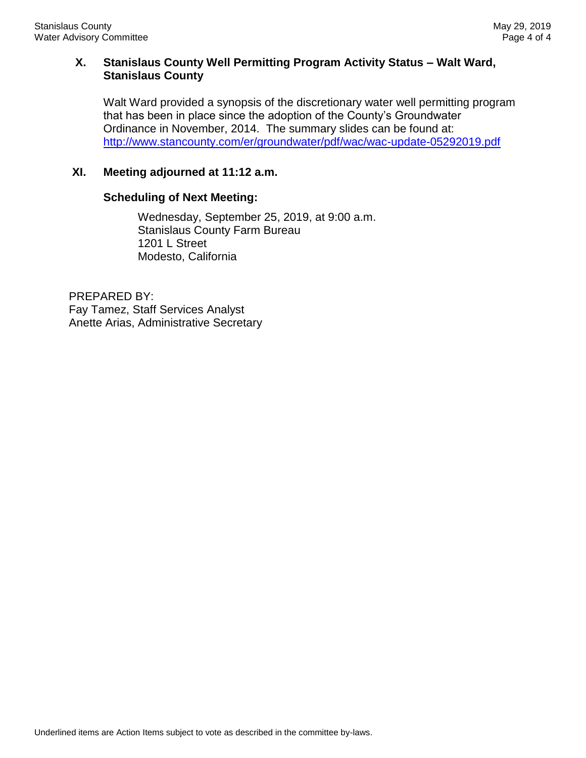## **X. Stanislaus County Well Permitting Program Activity Status – Walt Ward, Stanislaus County**

Walt Ward provided a synopsis of the discretionary water well permitting program that has been in place since the adoption of the County's Groundwater Ordinance in November, 2014. The summary slides can be found at: <http://www.stancounty.com/er/groundwater/pdf/wac/wac-update-05292019.pdf>

# **XI. Meeting adjourned at 11:12 a.m.**

#### **Scheduling of Next Meeting:**

Wednesday, September 25, 2019, at 9:00 a.m. Stanislaus County Farm Bureau 1201 L Street Modesto, California

PREPARED BY: Fay Tamez, Staff Services Analyst Anette Arias, Administrative Secretary